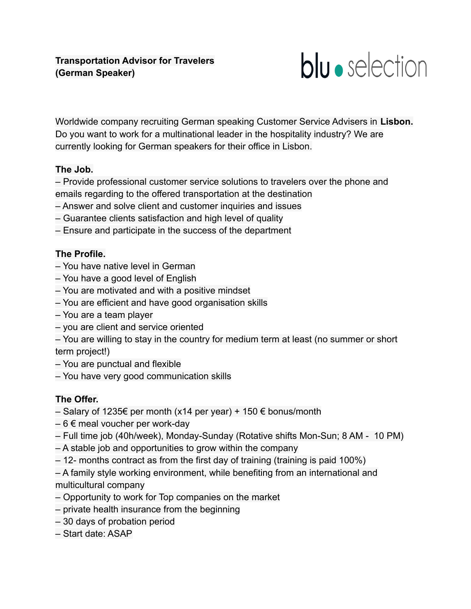

Worldwide company recruiting German speaking Customer Service Advisers in **Lisbon.** Do you want to work for a multinational leader in the hospitality industry? We are currently looking for German speakers for their office in Lisbon.

## **The Job.**

– Provide professional customer service solutions to travelers over the phone and emails regarding to the offered transportation at the destination

- Answer and solve client and customer inquiries and issues
- Guarantee clients satisfaction and high level of quality
- Ensure and participate in the success of the department

## **The Profile.**

- You have native level in German
- You have a good level of English
- You are motivated and with a positive mindset
- You are efficient and have good organisation skills
- You are a team player
- you are client and service oriented

– You are willing to stay in the country for medium term at least (no summer or short term project!)

- You are punctual and flexible
- You have very good communication skills

## **The Offer.**

- Salary of 1235€ per month (x14 per year) + 150 € bonus/month
- $-6 \in \mathsf{meal}$  voucher per work-day
- Full time job (40h/week), Monday-Sunday (Rotative shifts Mon-Sun; 8 AM 10 PM)
- A stable job and opportunities to grow within the company
- 12- months contract as from the first day of training (training is paid 100%)
- A family style working environment, while benefiting from an international and multicultural company
- Opportunity to work for Top companies on the market
- private health insurance from the beginning
- 30 days of probation period
- Start date: ASAP